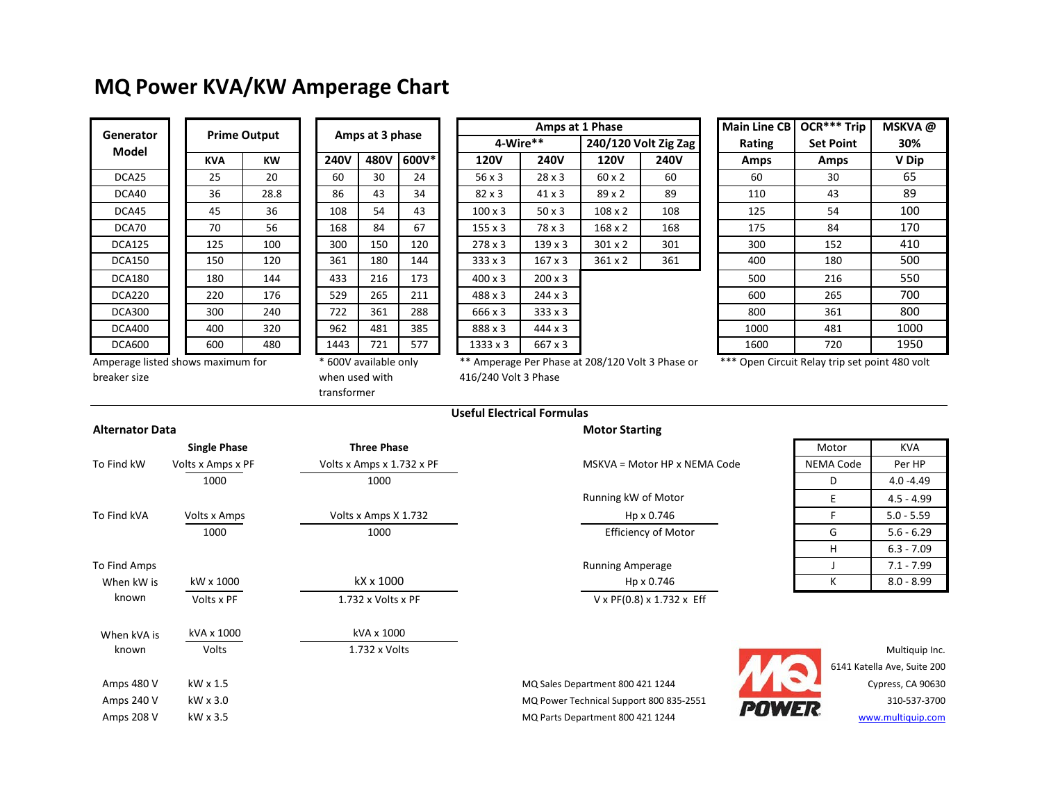## **MQ Power KVA/KW Amperage Chart**

| Generator         | <b>Prime Output</b> |           |  |  |  |
|-------------------|---------------------|-----------|--|--|--|
| Model             | <b>KVA</b>          | <b>KW</b> |  |  |  |
| DCA <sub>25</sub> | 25                  | 20        |  |  |  |
| DCA40             | 36                  | 28.8      |  |  |  |
| DCA45             | 45                  | 36        |  |  |  |
| DCA70             | 70                  | 56        |  |  |  |
| DCA125            | 125                 | 100       |  |  |  |
| DCA150            | 150                 | 120       |  |  |  |
| DCA180            | 180                 | 144       |  |  |  |
| DCA220            | 220                 | 176       |  |  |  |
| DCA300            | 300                 | 240       |  |  |  |
| DCA400            | 400                 | 320       |  |  |  |
| DCA600            | 600                 | 480       |  |  |  |

| Amps at 3 phase |                     |       |    |
|-----------------|---------------------|-------|----|
| <b>240V</b>     | 480V                | 600V* |    |
| 60              | 30                  | 24    |    |
| 86              | 43                  | 34    |    |
| 108             | 54                  | 43    |    |
| 168             | 84                  | 67    |    |
| 300             | 150                 | 120   |    |
| 361             | 180                 | 144   |    |
| 433             | 216                 | 173   |    |
| 529             | 265                 | 211   |    |
| 722             | 361                 | 288   |    |
| 962             | 481                 | 385   |    |
| 1443            | 721                 | 577   |    |
| $\ast$          | 600V available only |       | ** |

| <b>Prime Output</b>                                       |            |                 |             |                                      |       |                 | Amps at 1 Phase |                                                       | Main Line CB | OCR*** Trip      | <b>MSKVA</b><br>30%                                 |       |
|-----------------------------------------------------------|------------|-----------------|-------------|--------------------------------------|-------|-----------------|-----------------|-------------------------------------------------------|--------------|------------------|-----------------------------------------------------|-------|
| enerator                                                  |            | Amps at 3 phase |             |                                      |       | 4-Wire**        |                 | 240/120 Volt Zig Zag                                  | Rating       | <b>Set Point</b> |                                                     |       |
| Model                                                     | <b>KVA</b> | <b>KW</b>       | <b>240V</b> | 480V                                 | 600V* | <b>120V</b>     | <b>240V</b>     | <b>120V</b>                                           | <b>240V</b>  | <b>Amps</b>      | Amps                                                | V Dip |
| DCA25                                                     | 25         | 20              | 60          | 30                                   | 24    | $56 \times 3$   | $28 \times 3$   | 60 x 2                                                | 60           | 60               | 30                                                  | 65    |
| DCA40                                                     | 36         | 28.8            | 86          | 43                                   | 34    | $82 \times 3$   | $41 \times 3$   | $89 \times 2$                                         | 89           | 110              | 43                                                  | 89    |
| DCA45                                                     | 45         | 36              | 108         | 54                                   | 43    | $100 \times 3$  | $50 \times 3$   | $108 \times 2$                                        | 108          | 125              | 54                                                  | 100   |
| DCA70                                                     | 70         | 56              | 168         | 84                                   | 67    | $155 \times 3$  | 78 x 3          | $168 \times 2$                                        | 168          | 175              | 84                                                  | 170   |
| <b>DCA125</b>                                             | 125        | 100             | 300         | 150                                  | 120   | $278 \times 3$  | $139 \times 3$  | $301 \times 2$                                        | 301          | 300              | 152                                                 | 410   |
| DCA150                                                    | 150        | 120             | 361         | 180                                  | 144   | $333 \times 3$  | $167 \times 3$  | $361 \times 2$                                        | 361          | 400              | 180                                                 | 500   |
| <b>DCA180</b>                                             | 180        | 144             | 433         | 216                                  | 173   | $400 \times 3$  | $200 \times 3$  |                                                       |              | 500              | 216                                                 | 550   |
| <b>DCA220</b>                                             | 220        | 176             | 529         | 265                                  | 211   | $488 \times 3$  | $244 \times 3$  |                                                       |              | 600              | 265                                                 | 700   |
| DCA300                                                    | 300        | 240             | 722         | 361                                  | 288   | 666 x 3         | $333 \times 3$  |                                                       |              | 800              | 361                                                 | 800   |
| DCA400                                                    | 400        | 320             | 962         | 481                                  | 385   | 888 x 3         | $444 \times 3$  |                                                       |              | 1000             | 481                                                 | 1000  |
| DCA600                                                    | 600        | 480             | 1443        | 721                                  | 577   | $1333 \times 3$ | 667 x 3         |                                                       |              | 1600             | 720                                                 | 1950  |
| المتملك المستنبطين والمستحدث والمراكب والمتحادين والمتحدث |            |                 |             | $*$ compared the set of $\mathbb{R}$ |       |                 |                 | ** Appropriate Dep Discount 200 (420 Visit 2 Discount |              |                  | $***$ Ones Classic Belgicks ask as lat 400 $\ldots$ |       |

|            | Amps at 1 Phase |                |             | <b>Main Line CB</b>  | OCR*** Trip | MSKVA@ |                  |     |
|------------|-----------------|----------------|-------------|----------------------|-------------|--------|------------------|-----|
| 4-Wire**   |                 |                |             | 240/120 Volt Zig Zag |             | Rating | <b>Set Point</b> | 30% |
| V          | <b>240V</b>     | <b>120V</b>    | <b>240V</b> | <b>Amps</b>          | <b>Amps</b> | V Dip  |                  |     |
| 3          | $28 \times 3$   | 60 x 2         | 60          | 60                   | 30          | 65     |                  |     |
| 3          | 41 x 3          | 89x2           | 89          | 110                  | 43          | 89     |                  |     |
| د ع        | $50 \times 3$   | $108 \times 2$ | 108         | 125                  | 54          | 100    |                  |     |
| د ع        | 78 x 3          | $168 \times 2$ | 168         | 175                  | 84          | 170    |                  |     |
| د ع        | $139 \times 3$  | $301 \times 2$ | 301         | 300                  | 152         | 410    |                  |     |
| $\sqrt{3}$ | $167 \times 3$  | $361 \times 2$ | 361         | 400                  | 180         | 500    |                  |     |
| د ع        | $200 \times 3$  |                |             | 500                  | 216         | 550    |                  |     |
| د ع        | $244 \times 3$  |                |             | 600                  | 265         | 700    |                  |     |
| ί3         | $333 \times 3$  |                |             | 800                  | 361         | 800    |                  |     |
| د ع        | $444 \times 3$  |                |             | 1000                 | 481         | 1000   |                  |     |
| x 3        | 667 x 3         |                |             | 1600                 | 720         | 1950   |                  |     |

Amperage listed shows maximum for breaker size

when used with

transformer

Amperage Per Phase at 208/120 Volt 3 Phase or 416/240 Volt 3 Phase

\*\*\* Open Circuit Relay trip set point 480 volt

## **Useful Electrical Formulas**

## **Alternator Data Motor Starting Motor Starting**

|              | <b>Single Phase</b> | <b>Three Phase</b>        |                                            | Motor        | <b>KVA</b>                  |
|--------------|---------------------|---------------------------|--------------------------------------------|--------------|-----------------------------|
| To Find kW   | Volts x Amps x PF   | Volts x Amps x 1.732 x PF | MSKVA = Motor HP x NEMA Code               | NEMA Code    | Per HP                      |
|              | 1000                | 1000                      |                                            | D            | $4.0 - 4.49$                |
|              |                     |                           | Running kW of Motor                        | E            | $4.5 - 4.99$                |
| To Find kVA  | Volts x Amps        | Volts x Amps X 1.732      | Hp x 0.746                                 |              | $5.0 - 5.59$                |
|              | 1000                | 1000                      | <b>Efficiency of Motor</b>                 | G            | $5.6 - 6.29$                |
|              |                     |                           |                                            | H            | $6.3 - 7.09$                |
| To Find Amps |                     |                           | <b>Running Amperage</b>                    |              | $7.1 - 7.99$                |
| When kW is   | kW x 1000           | kX x 1000                 | Hp x 0.746                                 | ĸ            | $8.0 - 8.99$                |
| known        | Volts x PF          | 1.732 x Volts x PF        | $V \times PF(0.8) \times 1.732 \times Eff$ |              |                             |
| When kVA is  | kVA x 1000          | kVA x 1000                |                                            |              |                             |
| known        | Volts               | 1.732 x Volts             |                                            |              | Multiquip Inc.              |
|              |                     |                           |                                            |              | 6141 Katella Ave, Suite 200 |
| Amps 480 V   | kW x 1.5            |                           | MQ Sales Department 800 421 1244           |              | Cypress, CA 90630           |
| Amps 240 V   | kW x 3.0            |                           | MQ Power Technical Support 800 835-2551    | <b>POWER</b> | 310-537-3700                |
| Amps 208 V   | kW x 3.5            |                           | MQ Parts Department 800 421 1244           |              | www.multiquip.com           |